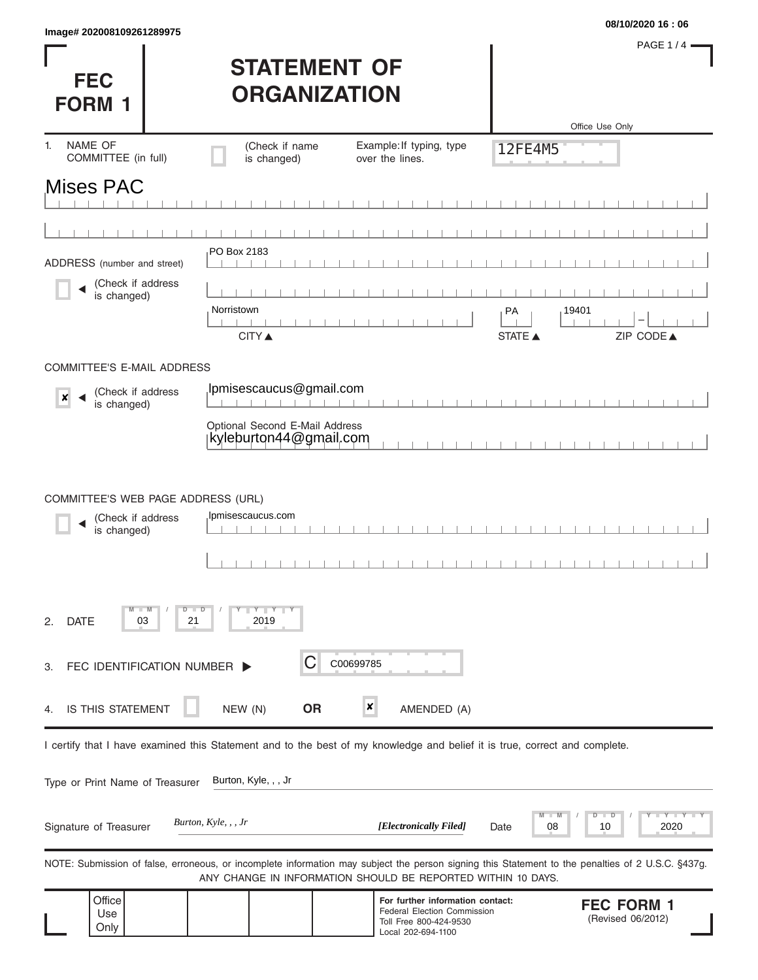|                          | 08/10/2020 16:06 |
|--------------------------|------------------|
| lmage#202008109261289975 |                  |

**FEC** 

PAGE 1/4 $-$ 

## **STATEMENT OF ORGANIZATION**

| <b>FORM 1</b>                         |                             | <b>UKGANIZAI IUN</b>           |                                                                                                                            |               |                                                                                                                                                   |
|---------------------------------------|-----------------------------|--------------------------------|----------------------------------------------------------------------------------------------------------------------------|---------------|---------------------------------------------------------------------------------------------------------------------------------------------------|
| NAME OF<br>1.<br>COMMITTEE (in full)  |                             | (Check if name<br>is changed)  | Example: If typing, type<br>over the lines.                                                                                | 12FE4M5       | Office Use Only                                                                                                                                   |
| <b>Mises PAC</b>                      |                             |                                |                                                                                                                            |               |                                                                                                                                                   |
|                                       |                             |                                |                                                                                                                            |               |                                                                                                                                                   |
|                                       |                             |                                |                                                                                                                            |               |                                                                                                                                                   |
| ADDRESS (number and street)           |                             | PO Box 2183                    |                                                                                                                            |               |                                                                                                                                                   |
| (Check if address<br>is changed)      |                             |                                |                                                                                                                            |               |                                                                                                                                                   |
|                                       |                             | Norristown<br><b>CITY ▲</b>    |                                                                                                                            | РA<br>STATE A | 19401<br>ZIP CODE▲                                                                                                                                |
| COMMITTEE'S E-MAIL ADDRESS            |                             |                                |                                                                                                                            |               |                                                                                                                                                   |
| (Check if address<br>×<br>is changed) |                             | Ipmisescaucus@gmail.com        |                                                                                                                            |               |                                                                                                                                                   |
|                                       |                             | Optional Second E-Mail Address |                                                                                                                            |               |                                                                                                                                                   |
|                                       |                             | kyleburton44@gmail.com         |                                                                                                                            |               |                                                                                                                                                   |
| (Check if address<br>is changed)      |                             | Ipmisescaucus.com              |                                                                                                                            |               |                                                                                                                                                   |
| <b>DATE</b><br>03<br>2.               | $-W$<br>$D$ $D$<br>21       | $Y$ $Y$ $Y$<br>2019            |                                                                                                                            |               |                                                                                                                                                   |
| 3.                                    | FEC IDENTIFICATION NUMBER > | C                              | C00699785                                                                                                                  |               |                                                                                                                                                   |
| IS THIS STATEMENT<br>4.               |                             | NEW (N)<br><b>OR</b>           | $\boldsymbol{x}$<br>AMENDED (A)                                                                                            |               |                                                                                                                                                   |
|                                       |                             |                                | I certify that I have examined this Statement and to the best of my knowledge and belief it is true, correct and complete. |               |                                                                                                                                                   |
| Type or Print Name of Treasurer       |                             | Burton, Kyle, , , Jr           |                                                                                                                            |               |                                                                                                                                                   |
| Signature of Treasurer                | Burton, Kyle, , , Jr        |                                | [Electronically Filed]                                                                                                     | Date          | 2020<br>08<br>10                                                                                                                                  |
|                                       |                             |                                | ANY CHANGE IN INFORMATION SHOULD BE REPORTED WITHIN 10 DAYS.                                                               |               | NOTE: Submission of false, erroneous, or incomplete information may subject the person signing this Statement to the penalties of 2 U.S.C. §437g. |
| Office<br>Use<br>Only                 |                             |                                | For further information contact:<br>Federal Election Commission<br>Toll Free 800-424-9530<br>Local 202-694-1100            |               | <b>FEC FORM 1</b><br>(Revised 06/2012)                                                                                                            |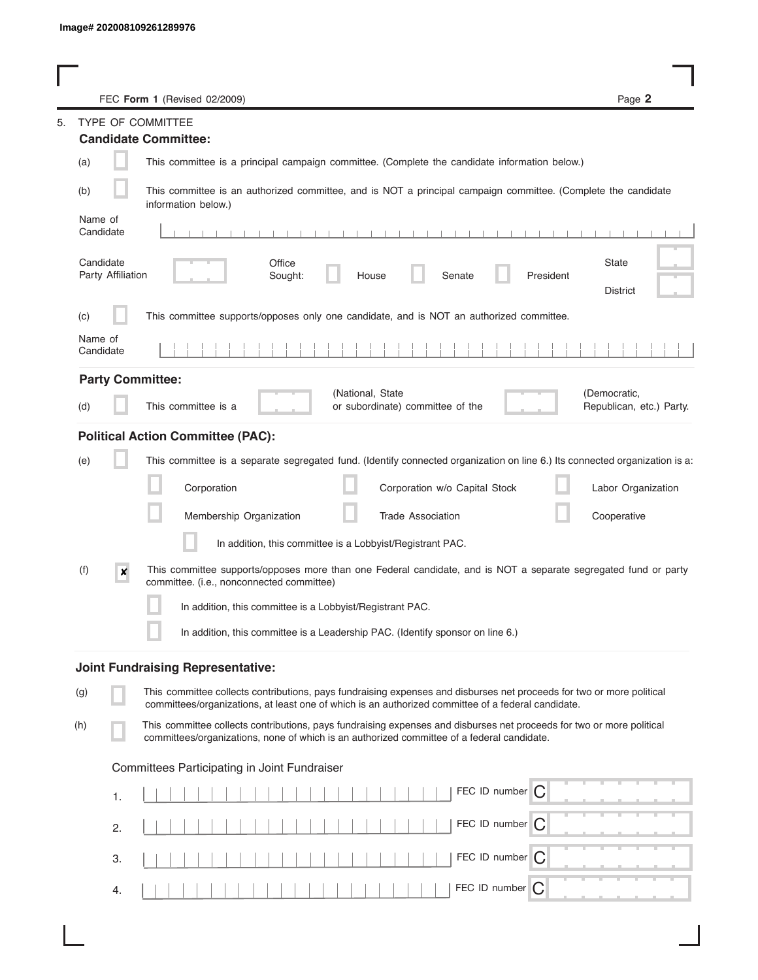|                                | FEC Form 1 (Revised 02/2009)                                                                                                                                                                                                | Page 2                                   |
|--------------------------------|-----------------------------------------------------------------------------------------------------------------------------------------------------------------------------------------------------------------------------|------------------------------------------|
| TYPE OF COMMITTEE              |                                                                                                                                                                                                                             |                                          |
|                                | <b>Candidate Committee:</b>                                                                                                                                                                                                 |                                          |
| (a)                            | This committee is a principal campaign committee. (Complete the candidate information below.)                                                                                                                               |                                          |
| (b)                            | This committee is an authorized committee, and is NOT a principal campaign committee. (Complete the candidate<br>information below.)                                                                                        |                                          |
| Name of<br>Candidate           |                                                                                                                                                                                                                             |                                          |
| Candidate<br>Party Affiliation | Office<br>Senate<br>President<br>Sought:<br>House                                                                                                                                                                           | State<br><b>District</b>                 |
| (c)                            | This committee supports/opposes only one candidate, and is NOT an authorized committee.                                                                                                                                     |                                          |
| Name of<br>Candidate           |                                                                                                                                                                                                                             |                                          |
| <b>Party Committee:</b>        |                                                                                                                                                                                                                             |                                          |
| (d)                            | (National, State<br>This committee is a<br>or subordinate) committee of the                                                                                                                                                 | (Democratic,<br>Republican, etc.) Party. |
|                                | <b>Political Action Committee (PAC):</b>                                                                                                                                                                                    |                                          |
| (e)                            | This committee is a separate segregated fund. (Identify connected organization on line 6.) Its connected organization is a:                                                                                                 |                                          |
|                                | Corporation<br>Corporation w/o Capital Stock                                                                                                                                                                                | Labor Organization                       |
|                                | Membership Organization<br><b>Trade Association</b>                                                                                                                                                                         | Cooperative                              |
|                                | In addition, this committee is a Lobbyist/Registrant PAC.                                                                                                                                                                   |                                          |
| (f)<br>×                       | This committee supports/opposes more than one Federal candidate, and is NOT a separate segregated fund or party<br>committee. (i.e., nonconnected committee)                                                                |                                          |
|                                | In addition, this committee is a Lobbyist/Registrant PAC.                                                                                                                                                                   |                                          |
|                                | In addition, this committee is a Leadership PAC. (Identify sponsor on line 6.)                                                                                                                                              |                                          |
|                                | <b>Joint Fundraising Representative:</b>                                                                                                                                                                                    |                                          |
| (g)                            | This committee collects contributions, pays fundraising expenses and disburses net proceeds for two or more political<br>committees/organizations, at least one of which is an authorized committee of a federal candidate. |                                          |
| (h)                            | This committee collects contributions, pays fundraising expenses and disburses net proceeds for two or more political<br>committees/organizations, none of which is an authorized committee of a federal candidate.         |                                          |
|                                | Committees Participating in Joint Fundraiser                                                                                                                                                                                |                                          |
| 1.                             | FEC ID number $\bigcap$                                                                                                                                                                                                     |                                          |
| 2.                             | FEC ID number C                                                                                                                                                                                                             |                                          |
| 3.                             | FEC ID number $\bigcap$                                                                                                                                                                                                     |                                          |
| 4.                             | FEC ID number C                                                                                                                                                                                                             |                                          |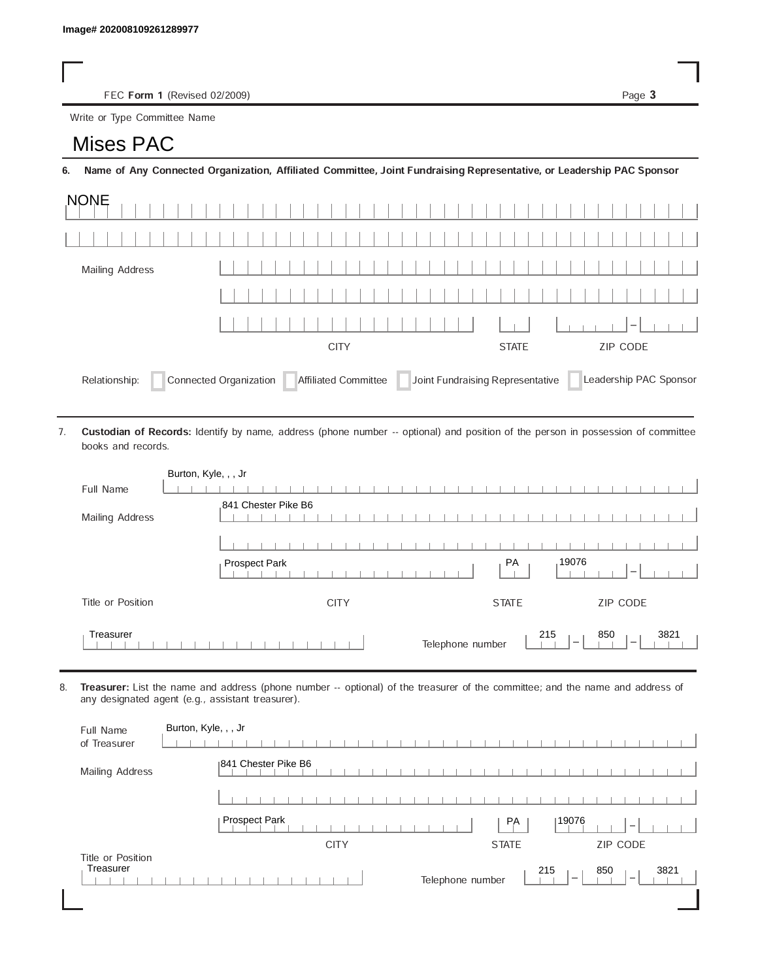FEC Form 1 (Revised 02/2009) Page 3

Write or Type Committee Name

## Image# 202008109261289977<br>
FEC Form 1 (Revise<br>
Write or Type Committee Nate<br> **MISES PAC**

6. Name of Any Connected Organization, Affiliated Committee, Joint Fundraising Representative, or Leadership PAC Sponsor

| <b>NONE</b>                                                                                                                  |  |  |  |      |  |
|------------------------------------------------------------------------------------------------------------------------------|--|--|--|------|--|
|                                                                                                                              |  |  |  |      |  |
| Mailing Address                                                                                                              |  |  |  |      |  |
|                                                                                                                              |  |  |  |      |  |
|                                                                                                                              |  |  |  | $-1$ |  |
| ZIP CODE<br><b>CITY</b><br><b>STATE</b>                                                                                      |  |  |  |      |  |
| Joint Fundraising Representative<br>Connected Organization   Affiliated Committee<br>Leadership PAC Sponsor<br>Relationship: |  |  |  |      |  |

Custodian of Records: Identify by name, address (phone number -- optional) and position of the person in possession of committee books and records. 7.

|                   | Burton, Kyle, , , Jr                                                                           |
|-------------------|------------------------------------------------------------------------------------------------|
| Full Name         |                                                                                                |
| Mailing Address   | 841 Chester Pike B6                                                                            |
|                   |                                                                                                |
|                   | 19076<br>PA<br>Prospect Park                                                                   |
| Title or Position | ZIP CODE<br><b>CITY</b><br><b>STATE</b>                                                        |
| Treasurer         | 215<br>850<br>3821<br>Telephone number<br>$\overline{\phantom{a}}$<br>$\overline{\phantom{a}}$ |

8. Treasurer: List the name and address (phone number -- optional) of the treasurer of the committee; and the name and address of any designated agent (e.g., assistant treasurer).

| Full Name<br>of Treasurer      | Burton, Kyle, , , Jr                                                                           |
|--------------------------------|------------------------------------------------------------------------------------------------|
| Mailing Address                | 1841 Chester Pike B6                                                                           |
|                                |                                                                                                |
|                                | Prospect Park<br>19076<br>PA<br>$\hspace{0.1mm}$                                               |
|                                | <b>ZIP CODE</b><br><b>CITY</b><br><b>STATE</b>                                                 |
| Title or Position<br>Treasurer | 215<br>850<br>3821<br>Telephone number<br>$\overline{\phantom{a}}$<br>$\overline{\phantom{a}}$ |